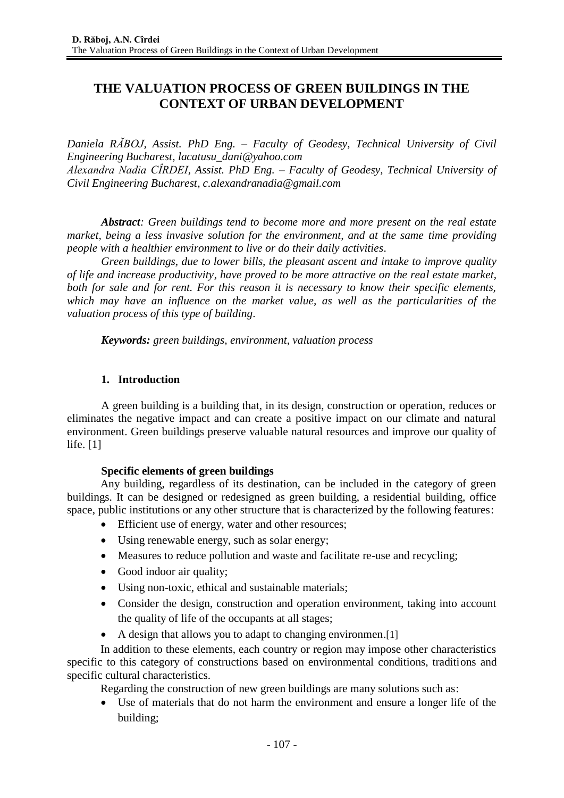# **THE VALUATION PROCESS OF GREEN BUILDINGS IN THE CONTEXT OF URBAN DEVELOPMENT**

*Daniela RĂBOJ, Assist. PhD Eng. – Faculty of Geodesy, Technical University of Civil Engineering Bucharest, lacatusu\_dani@yahoo.com Alexandra Nadia CÎRDEI, Assist. PhD Eng. – Faculty of Geodesy, Technical University of Civil Engineering Bucharest, c.alexandranadia@gmail.com*

*Abstract: Green buildings tend to become more and more present on the real estate market, being a less invasive solution for the environment, and at the same time providing people with a healthier environment to live or do their daily activities.*

*Green buildings, due to lower bills, the pleasant ascent and intake to improve quality of life and increase productivity, have proved to be more attractive on the real estate market, both for sale and for rent. For this reason it is necessary to know their specific elements, which may have an influence on the market value, as well as the particularities of the valuation process of this type of building.*

*Keywords: green buildings, environment, valuation process*

#### **1. Introduction**

A green building is a building that, in its design, construction or operation, reduces or eliminates the negative impact and can create a positive impact on our climate and natural environment. Green buildings preserve valuable natural resources and improve our quality of life. [1]

#### **Specific elements of green buildings**

Any building, regardless of its destination, can be included in the category of green buildings. It can be designed or redesigned as green building, a residential building, office space, public institutions or any other structure that is characterized by the following features:

- Efficient use of energy, water and other resources;
- Using renewable energy, such as solar energy;
- Measures to reduce pollution and waste and facilitate re-use and recycling;
- Good indoor air quality;
- Using non-toxic, ethical and sustainable materials;
- Consider the design, construction and operation environment, taking into account the quality of life of the occupants at all stages;
- A design that allows you to adapt to changing environmen. [1]

In addition to these elements, each country or region may impose other characteristics specific to this category of constructions based on environmental conditions, traditions and specific cultural characteristics.

Regarding the construction of new green buildings are many solutions such as:

 Use of materials that do not harm the environment and ensure a longer life of the building;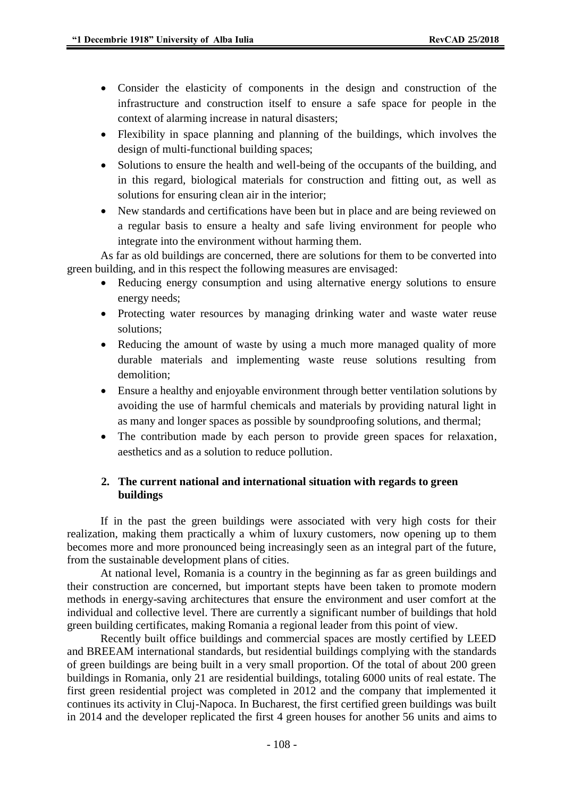- Consider the elasticity of components in the design and construction of the infrastructure and construction itself to ensure a safe space for people in the context of alarming increase in natural disasters;
- Flexibility in space planning and planning of the buildings, which involves the design of multi-functional building spaces;
- Solutions to ensure the health and well-being of the occupants of the building, and in this regard, biological materials for construction and fitting out, as well as solutions for ensuring clean air in the interior;
- New standards and certifications have been but in place and are being reviewed on a regular basis to ensure a healty and safe living environment for people who integrate into the environment without harming them.

As far as old buildings are concerned, there are solutions for them to be converted into green building, and in this respect the following measures are envisaged:

- Reducing energy consumption and using alternative energy solutions to ensure energy needs;
- Protecting water resources by managing drinking water and waste water reuse solutions;
- Reducing the amount of waste by using a much more managed quality of more durable materials and implementing waste reuse solutions resulting from demolition;
- Ensure a healthy and enjoyable environment through better ventilation solutions by avoiding the use of harmful chemicals and materials by providing natural light in as many and longer spaces as possible by soundproofing solutions, and thermal;
- The contribution made by each person to provide green spaces for relaxation, aesthetics and as a solution to reduce pollution.

#### **2. The current national and international situation with regards to green buildings**

If in the past the green buildings were associated with very high costs for their realization, making them practically a whim of luxury customers, now opening up to them becomes more and more pronounced being increasingly seen as an integral part of the future, from the sustainable development plans of cities.

At national level, Romania is a country in the beginning as far as green buildings and their construction are concerned, but important stepts have been taken to promote modern methods in energy-saving architectures that ensure the environment and user comfort at the individual and collective level. There are currently a significant number of buildings that hold green building certificates, making Romania a regional leader from this point of view.

Recently built office buildings and commercial spaces are mostly certified by LEED and BREEAM international standards, but residential buildings complying with the standards of green buildings are being built in a very small proportion. Of the total of about 200 green buildings in Romania, only 21 are residential buildings, totaling 6000 units of real estate. The first green residential project was completed in 2012 and the company that implemented it continues its activity in Cluj-Napoca. In Bucharest, the first certified green buildings was built in 2014 and the developer replicated the first 4 green houses for another 56 units and aims to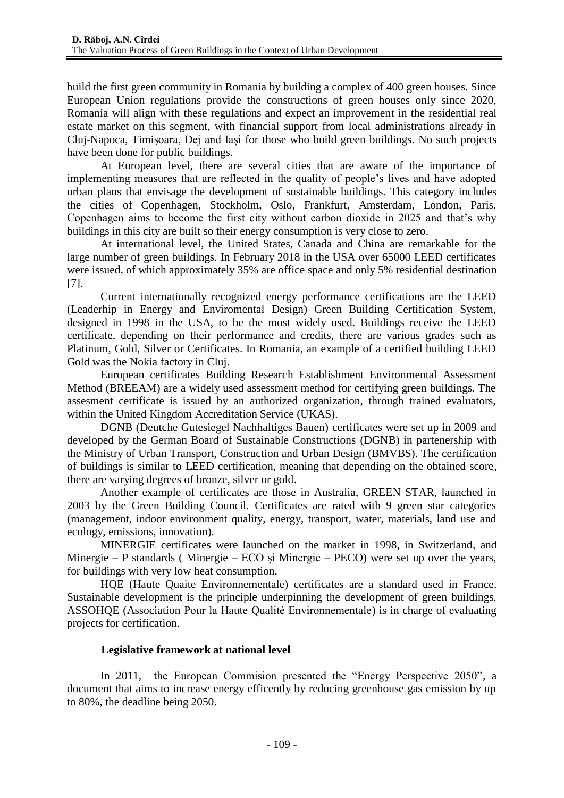build the first green community in Romania by building a complex of 400 green houses. Since European Union regulations provide the constructions of green houses only since 2020, Romania will align with these regulations and expect an improvement in the residential real estate market on this segment, with financial support from local administrations already in Cluj-Napoca, Timișoara, Dej and Iași for those who build green buildings. No such projects have been done for public buildings.

At European level, there are several cities that are aware of the importance of implementing measures that are reflected in the quality of people's lives and have adopted urban plans that envisage the development of sustainable buildings. This category includes the cities of Copenhagen, Stockholm, Oslo, Frankfurt, Amsterdam, London, Paris. Copenhagen aims to become the first city without carbon dioxide in 2025 and that's why buildings in this city are built so their energy consumption is very close to zero.

At international level, the United States, Canada and China are remarkable for the large number of green buildings. In February 2018 in the USA over 65000 LEED certificates were issued, of which approximately 35% are office space and only 5% residential destination [7].

Current internationally recognized energy performance certifications are the LEED (Leaderhip in Energy and Enviromental Design) Green Building Certification System, designed in 1998 in the USA, to be the most widely used. Buildings receive the LEED certificate, depending on their performance and credits, there are various grades such as Platinum, Gold, Silver or Certificates. In Romania, an example of a certified building LEED Gold was the Nokia factory in Cluj.

European certificates Building Research Establishment Environmental Assessment Method (BREEAM) are a widely used assessment method for certifying green buildings. The assesment certificate is issued by an authorized organization, through trained evaluators, within the United Kingdom Accreditation Service (UKAS).

DGNB (Deutche Gutesiegel Nachhaltiges Bauen) certificates were set up in 2009 and developed by the German Board of Sustainable Constructions (DGNB) in partenership with the Ministry of Urban Transport, Construction and Urban Design (BMVBS). The certification of buildings is similar to LEED certification, meaning that depending on the obtained score, there are varying degrees of bronze, silver or gold.

Another example of certificates are those in Australia, GREEN STAR, launched in 2003 by the Green Building Council. Certificates are rated with 9 green star categories (management, indoor environment quality, energy, transport, water, materials, land use and ecology, emissions, innovation).

MINERGIE certificates were launched on the market in 1998, in Switzerland, and Minergie – P standards ( Minergie – ECO și Minergie – PECO) were set up over the years, for buildings with very low heat consumption.

HQE (Haute Quaite Environnementale) certificates are a standard used in France. Sustainable development is the principle underpinning the development of green buildings. ASSOHQE (Association Pour la Haute Qualité Environnementale) is in charge of evaluating projects for certification.

#### **Legislative framework at national level**

In 2011, the European Commision presented the "Energy Perspective 2050", a document that aims to increase energy efficently by reducing greenhouse gas emission by up to 80%, the deadline being 2050.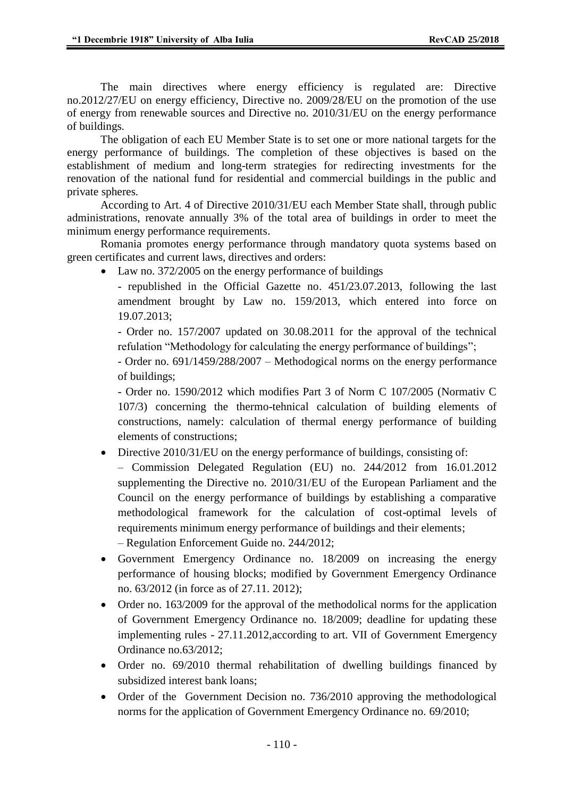The main directives where energy efficiency is regulated are: Directive no.2012/27/EU on energy efficiency, Directive no. 2009/28/EU on the promotion of the use of energy from renewable sources and Directive no. 2010/31/EU on the energy performance of buildings.

The obligation of each EU Member State is to set one or more national targets for the energy performance of buildings. The completion of these objectives is based on the establishment of medium and long-term strategies for redirecting investments for the renovation of the national fund for residential and commercial buildings in the public and private spheres.

According to Art. 4 of Directive 2010/31/EU each Member State shall, through public administrations, renovate annually 3% of the total area of buildings in order to meet the minimum energy performance requirements.

Romania promotes energy performance through mandatory quota systems based on green certificates and current laws, directives and orders:

• Law no. 372/2005 on the energy performance of buildings

- republished in the Official Gazette no. 451/23.07.2013, following the last amendment brought by Law no. 159/2013, which entered into force on 19.07.2013;

- Order no. 157/2007 updated on 30.08.2011 for the approval of the technical refulation "Methodology for calculating the energy performance of buildings";

- Order no. 691/1459/288/2007 – Methodogical norms on the energy performance of buildings;

- Order no. 1590/2012 which modifies Part 3 of Norm C 107/2005 (Normativ C 107/3) concerning the thermo-tehnical calculation of building elements of constructions, namely: calculation of thermal energy performance of building elements of constructions;

• Directive 2010/31/EU on the energy performance of buildings, consisting of:

– Commission Delegated Regulation (EU) no. 244/2012 from 16.01.2012 supplementing the Directive no. 2010/31/EU of the European Parliament and the Council on the energy performance of buildings by establishing a comparative methodological framework for the calculation of cost-optimal levels of requirements minimum energy performance of buildings and their elements;

– Regulation Enforcement Guide no. 244/2012;

- Government Emergency Ordinance no. 18/2009 on increasing the energy performance of housing blocks; modified by Government Emergency Ordinance no. 63/2012 (in force as of 27.11. 2012);
- Order no. 163/2009 for the approval of the methodolical norms for the application of Government Emergency Ordinance no. 18/2009; deadline for updating these implementing rules - 27.11.2012,according to art. VII of Government Emergency Ordinance no.63/2012;
- Order no. 69/2010 thermal rehabilitation of dwelling buildings financed by subsidized interest bank loans;
- Order of the Government Decision no. 736/2010 approving the methodological norms for the application of Government Emergency Ordinance no. 69/2010;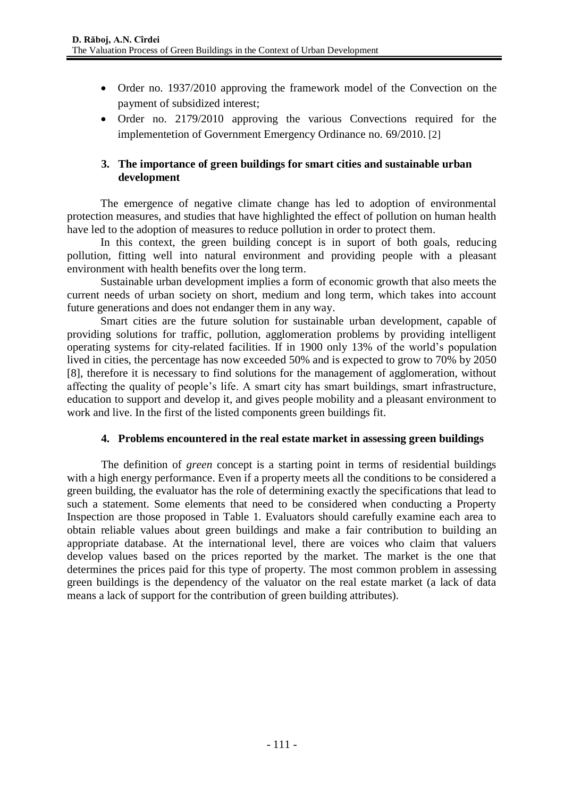- Order no. 1937/2010 approving the framework model of the Convection on the payment of subsidized interest;
- Order no. 2179/2010 approving the various Convections required for the implementetion of Government Emergency Ordinance no. 69/2010. [2]

### **3. The importance of green buildings for smart cities and sustainable urban development**

The emergence of negative climate change has led to adoption of environmental protection measures, and studies that have highlighted the effect of pollution on human health have led to the adoption of measures to reduce pollution in order to protect them.

In this context, the green building concept is in suport of both goals, reducing pollution, fitting well into natural environment and providing people with a pleasant environment with health benefits over the long term.

Sustainable urban development implies a form of economic growth that also meets the current needs of urban society on short, medium and long term, which takes into account future generations and does not endanger them in any way.

Smart cities are the future solution for sustainable urban development, capable of providing solutions for traffic, pollution, agglomeration problems by providing intelligent operating systems for city-related facilities. If in 1900 only 13% of the world's population lived in cities, the percentage has now exceeded 50% and is expected to grow to 70% by 2050 [8], therefore it is necessary to find solutions for the management of agglomeration, without affecting the quality of people's life. A smart city has smart buildings, smart infrastructure, education to support and develop it, and gives people mobility and a pleasant environment to work and live. In the first of the listed components green buildings fit.

#### **4. Problems encountered in the real estate market in assessing green buildings**

The definition of *green* concept is a starting point in terms of residential buildings with a high energy performance. Even if a property meets all the conditions to be considered a green building, the evaluator has the role of determining exactly the specifications that lead to such a statement. Some elements that need to be considered when conducting a Property Inspection are those proposed in Table 1. Evaluators should carefully examine each area to obtain reliable values about green buildings and make a fair contribution to building an appropriate database. At the international level, there are voices who claim that valuers develop values based on the prices reported by the market. The market is the one that determines the prices paid for this type of property. The most common problem in assessing green buildings is the dependency of the valuator on the real estate market (a lack of data means a lack of support for the contribution of green building attributes).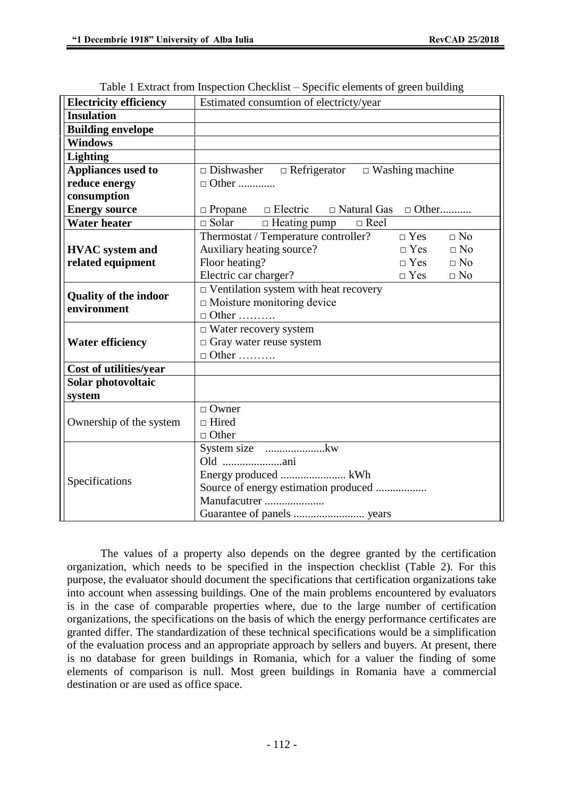| <b>Electricity efficiency</b>               | Estimated consumtion of electricty/year                         |
|---------------------------------------------|-----------------------------------------------------------------|
| <b>Insulation</b>                           |                                                                 |
| <b>Building envelope</b>                    |                                                                 |
| <b>Windows</b>                              |                                                                 |
| <b>Lighting</b>                             |                                                                 |
| <b>Appliances used to</b>                   | $\Box$ Dishwasher $\Box$ Refrigerator $\Box$ Washing machine    |
| reduce energy                               | $\Box$ Other                                                    |
| consumption                                 |                                                                 |
| <b>Energy source</b>                        | $\Box$ Propane $\Box$ Electric $\Box$ Natural Gas $\Box$ Other  |
| <b>Water heater</b>                         | $\Box$ Solar $\Box$ Heating pump $\Box$ Reel                    |
|                                             | Thermostat / Temperature controller?<br>$\Box$ No<br>$\Box$ Yes |
| <b>HVAC</b> system and                      | Auxiliary heating source?<br>$\Box$ No<br>$\Box$ Yes            |
| related equipment                           | Floor heating?<br>$\Box$ Yes<br>$\Box$ No                       |
|                                             | Electric car charger?<br>$\Box$ Yes<br>$\Box$ No                |
| <b>Quality of the indoor</b><br>environment | $\Box$ Ventilation system with heat recovery                    |
|                                             | $\Box$ Moisture monitoring device                               |
|                                             | $\Box$ Other                                                    |
|                                             | $\Box$ Water recovery system                                    |
| <b>Water efficiency</b>                     | $\Box$ Gray water reuse system                                  |
|                                             | $\Box$ Other                                                    |
| Cost of utilities/year                      |                                                                 |
| Solar photovoltaic                          |                                                                 |
| system                                      |                                                                 |
| Ownership of the system                     | $\Box$ Owner                                                    |
|                                             | $\Box$ Hired                                                    |
|                                             | $\Box$ Other                                                    |
| Specifications                              |                                                                 |
|                                             | Old ani                                                         |
|                                             |                                                                 |
|                                             | Source of energy estimation produced                            |
|                                             | Manufacutrer                                                    |
|                                             |                                                                 |

Table 1 Extract from Inspection Checklist – Specific elements of green building

The values of a property also depends on the degree granted by the certification organization, which needs to be specified in the inspection checklist (Table 2). For this purpose, the evaluator should document the specifications that certification organizations take into account when assessing buildings. One of the main problems encountered by evaluators is in the case of comparable properties where, due to the large number of certification organizations, the specifications on the basis of which the energy performance certificates are granted differ. The standardization of these technical specifications would be a simplification of the evaluation process and an appropriate approach by sellers and buyers. At present, there is no database for green buildings in Romania, which for a valuer the finding of some elements of comparison is null. Most green buildings in Romania have a commercial destination or are used as office space.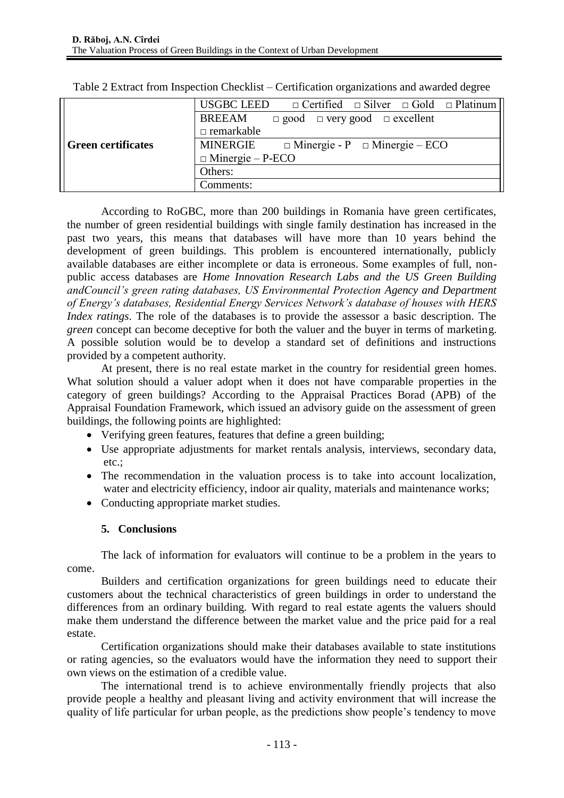|                           | USGBC LEED $\Box$ Certified $\Box$ Silver $\Box$ Gold $\Box$ Platinum |
|---------------------------|-----------------------------------------------------------------------|
|                           | <b>BREEAM</b><br>$\Box$ good $\Box$ very good $\Box$ excellent        |
|                           | $\Box$ remarkable                                                     |
| <b>Green certificates</b> | MINERGIE<br>$\Box$ Minergie - P $\Box$ Minergie – ECO                 |
|                           | $\Box$ Minergie – P-ECO                                               |
|                           | Others:                                                               |
|                           | Comments:                                                             |

Table 2 Extract from Inspection Checklist – Certification organizations and awarded degree

According to RoGBC, more than 200 buildings in Romania have green certificates, the number of green residential buildings with single family destination has increased in the past two years, this means that databases will have more than 10 years behind the development of green buildings. This problem is encountered internationally, publicly available databases are either incomplete or data is erroneous. Some examples of full, nonpublic access databases are *Home Innovation Research Labs and the US Green Building andCouncil's green rating databases, US Environmental Protection Agency and Department of Energy's databases, Residential Energy Services Network's database of houses with HERS Index ratings*. The role of the databases is to provide the assessor a basic description. The *green* concept can become deceptive for both the valuer and the buyer in terms of marketing. A possible solution would be to develop a standard set of definitions and instructions provided by a competent authority.

At present, there is no real estate market in the country for residential green homes. What solution should a valuer adopt when it does not have comparable properties in the category of green buildings? According to the Appraisal Practices Borad (APB) of the Appraisal Foundation Framework, which issued an advisory guide on the assessment of green buildings, the following points are highlighted:

- Verifying green features, features that define a green building;
- Use appropriate adjustments for market rentals analysis, interviews, secondary data, etc.;
- The recommendation in the valuation process is to take into account localization, water and electricity efficiency, indoor air quality, materials and maintenance works;
- Conducting appropriate market studies.

## **5. Conclusions**

The lack of information for evaluators will continue to be a problem in the years to come.

Builders and certification organizations for green buildings need to educate their customers about the technical characteristics of green buildings in order to understand the differences from an ordinary building. With regard to real estate agents the valuers should make them understand the difference between the market value and the price paid for a real estate.

Certification organizations should make their databases available to state institutions or rating agencies, so the evaluators would have the information they need to support their own views on the estimation of a credible value.

The international trend is to achieve environmentally friendly projects that also provide people a healthy and pleasant living and activity environment that will increase the quality of life particular for urban people, as the predictions show people's tendency to move